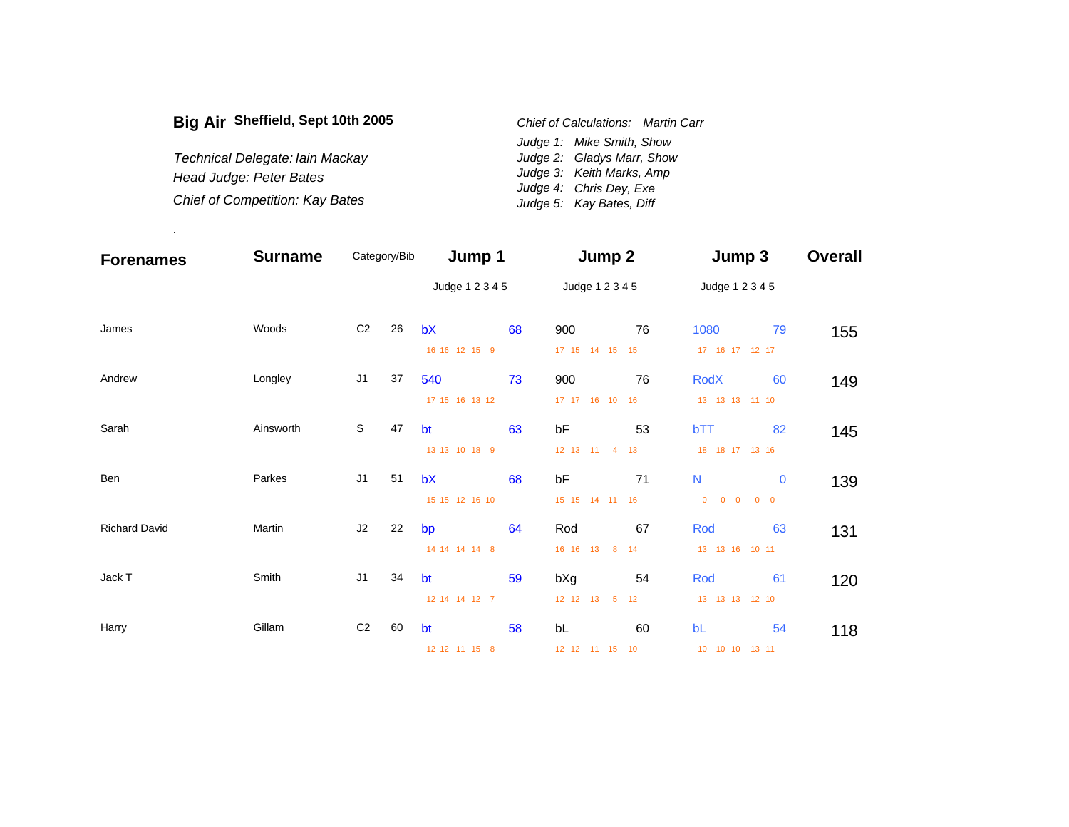| Big Air Sheffield, Sept 10th 2005      | Chief of Calculations: Martin Carr |                            |  |  |
|----------------------------------------|------------------------------------|----------------------------|--|--|
|                                        |                                    | Judge 1: Mike Smith, Show  |  |  |
| Technical Delegate: Iain Mackay        |                                    | Judge 2: Gladys Marr, Show |  |  |
| Head Judge: Peter Bates                |                                    | Judge 3: Keith Marks, Amp  |  |  |
|                                        |                                    | Judge 4: Chris Dey, Exe    |  |  |
| <b>Chief of Competition: Kay Bates</b> |                                    | Judge 5: Kay Bates, Diff   |  |  |

.

| <b>Forenames</b>     | <b>Surname</b> | Category/Bib   |    | Jump 1          |    | Jump 2                              |    | Jump 3                        |             | <b>Overall</b> |  |
|----------------------|----------------|----------------|----|-----------------|----|-------------------------------------|----|-------------------------------|-------------|----------------|--|
|                      |                |                |    | Judge 1 2 3 4 5 |    | Judge 1 2 3 4 5                     |    | Judge 1 2 3 4 5               |             |                |  |
| James                | Woods          | C <sub>2</sub> | 26 | bX              | 68 | 900                                 | 76 | 1080                          | 79          | 155            |  |
|                      |                |                |    | 16 16 12 15 9   |    | 17 15 14 15 15                      |    | 17  16  17  12  17            |             |                |  |
| Andrew               | Longley        | J1             | 37 | 540             | 73 | 900                                 | 76 | <b>RodX</b>                   | 60          | 149            |  |
|                      |                |                |    | 17 15 16 13 12  |    | 17 17 16 10 16                      |    | 13 13 13 11 10                |             |                |  |
| Sarah                | Ainsworth      | S              | 47 | bt              | 63 | bF                                  | 53 | bTT                           | 82          | 145            |  |
|                      |                |                |    | 13 13 10 18 9   |    | 12 13 11 4 13                       |    | 18 18 17 13 16                |             |                |  |
| Ben                  | Parkes         | J1             | 51 | bX              | 68 | bF                                  | 71 | N                             | $\mathbf 0$ | 139            |  |
|                      |                |                |    | 15 15 12 16 10  |    | 15 15 14 11 16                      |    | $0 \quad 0$<br>$\overline{0}$ | $0\quad 0$  |                |  |
| <b>Richard David</b> | Martin         | J2             | 22 | bp              | 64 | Rod                                 | 67 | Rod                           | 63          | 131            |  |
|                      |                |                |    | 14 14 14 14 8   |    | 16 16 13<br>$\overline{\mathbf{8}}$ | 14 | 13  13  16  10  11            |             |                |  |
| Jack T               | Smith          | J <sub>1</sub> | 34 | bt              | 59 | bXg                                 | 54 | Rod                           | 61          | 120            |  |
|                      |                |                |    | 12 14 14 12 7   |    | 12 12 13<br>$5^{\circ}$             | 12 | 13  13  13  12  10            |             |                |  |
| Harry                | Gillam         | C <sub>2</sub> | 60 | bt              | 58 | bL                                  | 60 | bL                            | 54          | 118            |  |
|                      |                |                |    | 12 12 11 15 8   |    | 12 12 11 15 10                      |    | 10 10 10 13 11                |             |                |  |